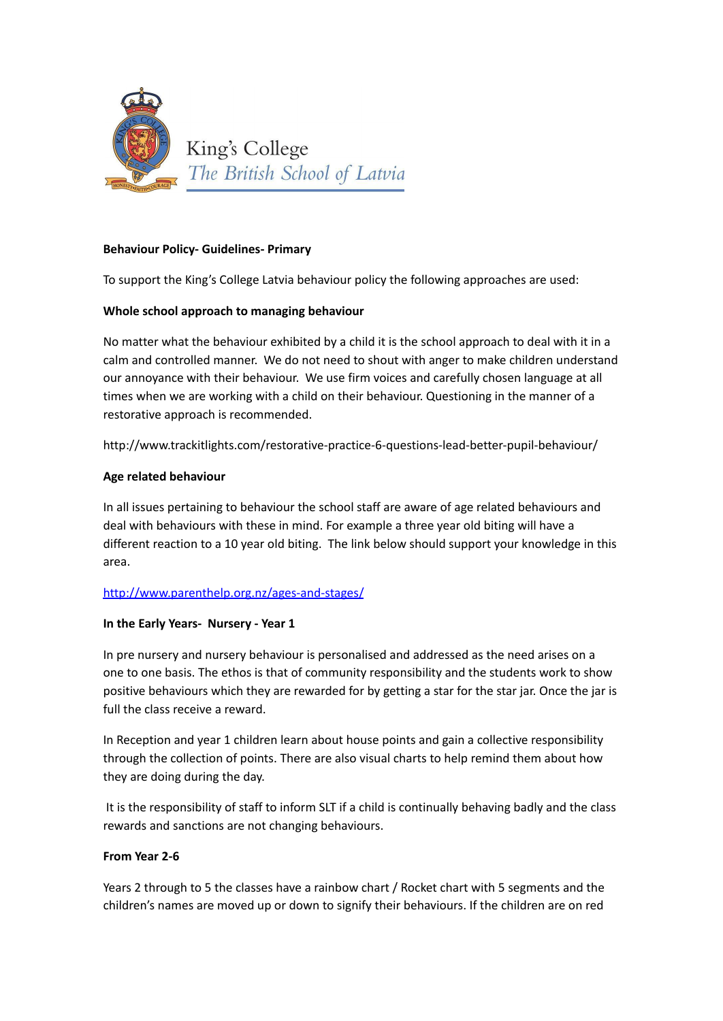

## **Behaviour Policy- Guidelines- Primary**

To support the King's College Latvia behaviour policy the following approaches are used:

### **Whole school approach to managing behaviour**

No matter what the behaviour exhibited by a child it is the school approach to deal with it in a calm and controlled manner. We do not need to shout with anger to make children understand our annoyance with their behaviour. We use firm voices and carefully chosen language at all times when we are working with a child on their behaviour. Questioning in the manner of a restorative approach is recommended.

http://www.trackitlights.com/restorative-practice-6-questions-lead-better-pupil-behaviour/

## **Age related behaviour**

In all issues pertaining to behaviour the school staff are aware of age related behaviours and deal with behaviours with these in mind. For example a three year old biting will have a different reaction to a 10 year old biting. The link below should support your knowledge in this area.

### <http://www.parenthelp.org.nz/ages-and-stages/>

### **In the Early Years- Nursery - Year 1**

In pre nursery and nursery behaviour is personalised and addressed as the need arises on a one to one basis. The ethos is that of community responsibility and the students work to show positive behaviours which they are rewarded for by getting a star for the star jar. Once the jar is full the class receive a reward.

In Reception and year 1 children learn about house points and gain a collective responsibility through the collection of points. There are also visual charts to help remind them about how they are doing during the day.

It is the responsibility of staff to inform SLT if a child is continually behaving badly and the class rewards and sanctions are not changing behaviours.

### **From Year 2-6**

Years 2 through to 5 the classes have a rainbow chart / Rocket chart with 5 segments and the children's names are moved up or down to signify their behaviours. If the children are on red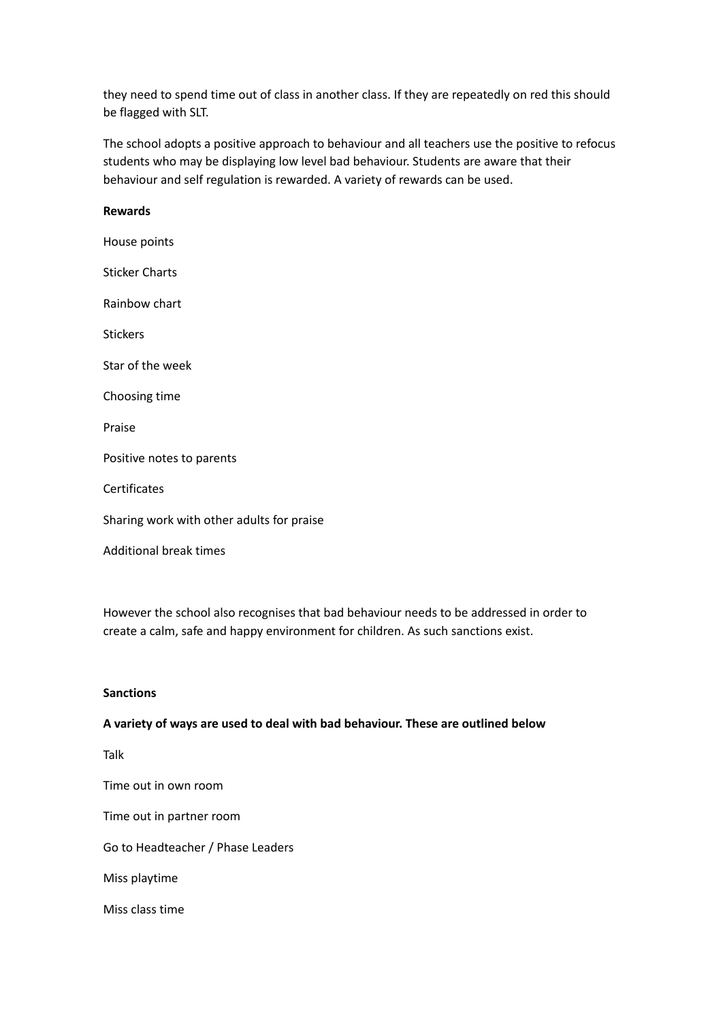they need to spend time out of class in another class. If they are repeatedly on red this should be flagged with SLT.

The school adopts a positive approach to behaviour and all teachers use the positive to refocus students who may be displaying low level bad behaviour. Students are aware that their behaviour and self regulation is rewarded. A variety of rewards can be used.

# **Rewards** House points Sticker Charts Rainbow chart Stickers Star of the week Choosing time Praise Positive notes to parents Certificates Sharing work with other adults for praise Additional break times

However the school also recognises that bad behaviour needs to be addressed in order to create a calm, safe and happy environment for children. As such sanctions exist.

## **Sanctions**

#### **A variety of ways are used to deal with bad behaviour. These are outlined below**

Talk

Time out in own room

Time out in partner room

Go to Headteacher / Phase Leaders

Miss playtime

Miss class time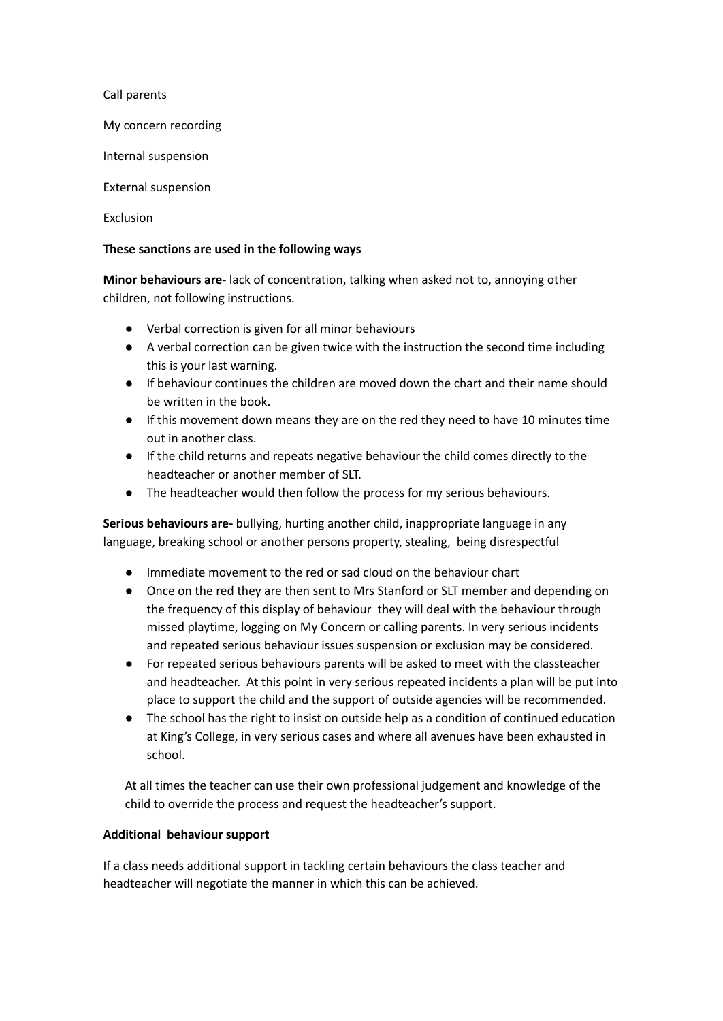Call parents

My concern recording

Internal suspension

External suspension

**Exclusion** 

#### **These sanctions are used in the following ways**

**Minor behaviours are-** lack of concentration, talking when asked not to, annoying other children, not following instructions.

- Verbal correction is given for all minor behaviours
- A verbal correction can be given twice with the instruction the second time including this is your last warning.
- If behaviour continues the children are moved down the chart and their name should be written in the book.
- If this movement down means they are on the red they need to have 10 minutes time out in another class.
- If the child returns and repeats negative behaviour the child comes directly to the headteacher or another member of SLT.
- The headteacher would then follow the process for my serious behaviours.

**Serious behaviours are-** bullying, hurting another child, inappropriate language in any language, breaking school or another persons property, stealing, being disrespectful

- Immediate movement to the red or sad cloud on the behaviour chart
- Once on the red they are then sent to Mrs Stanford or SLT member and depending on the frequency of this display of behaviour they will deal with the behaviour through missed playtime, logging on My Concern or calling parents. In very serious incidents and repeated serious behaviour issues suspension or exclusion may be considered.
- For repeated serious behaviours parents will be asked to meet with the classteacher and headteacher. At this point in very serious repeated incidents a plan will be put into place to support the child and the support of outside agencies will be recommended.
- The school has the right to insist on outside help as a condition of continued education at King's College, in very serious cases and where all avenues have been exhausted in school.

At all times the teacher can use their own professional judgement and knowledge of the child to override the process and request the headteacher's support.

### **Additional behaviour support**

If a class needs additional support in tackling certain behaviours the class teacher and headteacher will negotiate the manner in which this can be achieved.